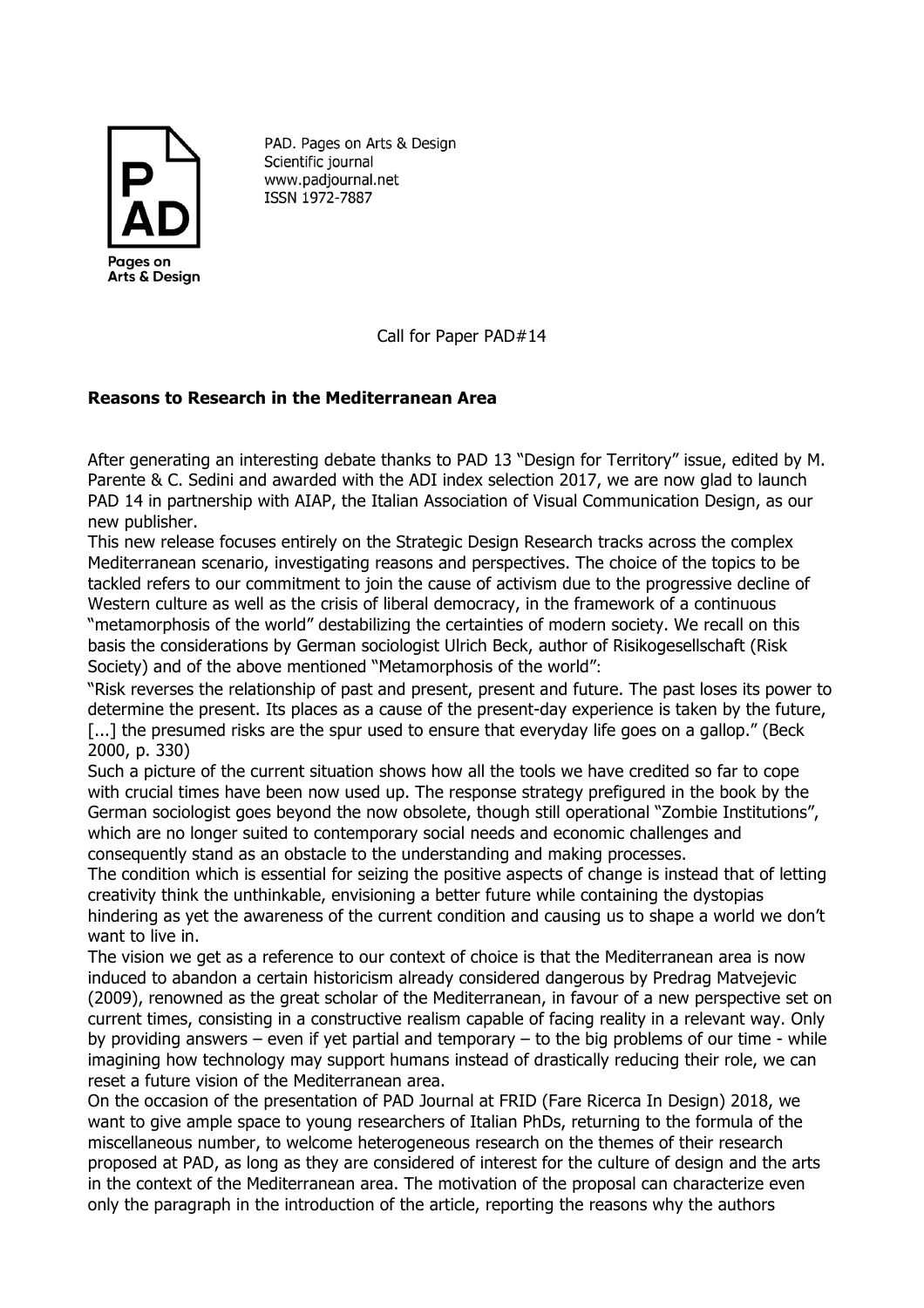

PAD. Pages on Arts & Design Scientific journal www.padjournal.net ISSN 1972-7887

Call for Paper PAD#14

## **Reasons to Research in the Mediterranean Area**

After generating an interesting debate thanks to PAD 13 "Design for Territory" issue, edited by M. Parente & C. Sedini and awarded with the ADI index selection 2017, we are now glad to launch PAD 14 in partnership with AIAP, the Italian Association of Visual Communication Design, as our new publisher.

This new release focuses entirely on the Strategic Design Research tracks across the complex Mediterranean scenario, investigating reasons and perspectives. The choice of the topics to be tackled refers to our commitment to join the cause of activism due to the progressive decline of Western culture as well as the crisis of liberal democracy, in the framework of a continuous "metamorphosis of the world" destabilizing the certainties of modern society. We recall on this basis the considerations by German sociologist Ulrich Beck, author of Risikogesellschaft (Risk Society) and of the above mentioned "Metamorphosis of the world": 

"Risk reverses the relationship of past and present, present and future. The past loses its power to determine the present. Its places as a cause of the present-day experience is taken by the future, [...] the presumed risks are the spur used to ensure that everyday life goes on a gallop." (Beck 2000, p. 330)

Such a picture of the current situation shows how all the tools we have credited so far to cope with crucial times have been now used up. The response strategy prefigured in the book by the German sociologist goes beyond the now obsolete, though still operational "Zombie Institutions", which are no longer suited to contemporary social needs and economic challenges and consequently stand as an obstacle to the understanding and making processes.

The condition which is essential for seizing the positive aspects of change is instead that of letting creativity think the unthinkable, envisioning a better future while containing the dystopias hindering as yet the awareness of the current condition and causing us to shape a world we don't want to live in.

The vision we get as a reference to our context of choice is that the Mediterranean area is now induced to abandon a certain historicism already considered dangerous by Predrag Matvejevic (2009), renowned as the great scholar of the Mediterranean, in favour of a new perspective set on current times, consisting in a constructive realism capable of facing reality in a relevant way. Only by providing answers – even if yet partial and temporary – to the big problems of our time - while imagining how technology may support humans instead of drastically reducing their role, we can reset a future vision of the Mediterranean area.

On the occasion of the presentation of PAD Journal at FRID (Fare Ricerca In Design) 2018, we want to give ample space to young researchers of Italian PhDs, returning to the formula of the miscellaneous number, to welcome heterogeneous research on the themes of their research proposed at PAD, as long as they are considered of interest for the culture of design and the arts in the context of the Mediterranean area. The motivation of the proposal can characterize even only the paragraph in the introduction of the article, reporting the reasons why the authors